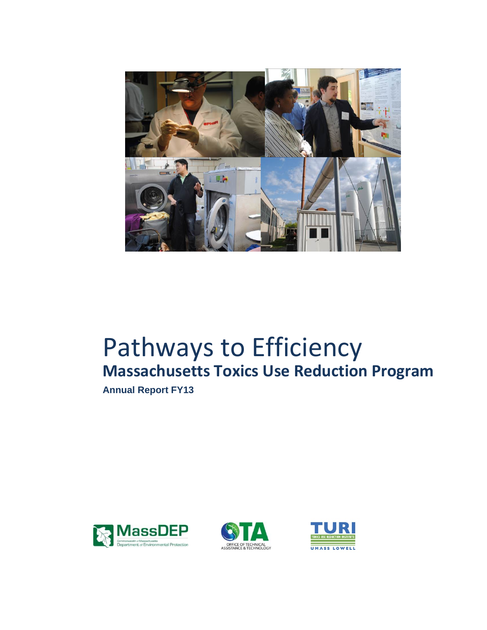

# **Massachusetts Toxics Use Reduction Program** Pathways to Efficiency

**Annual Report FY13** 





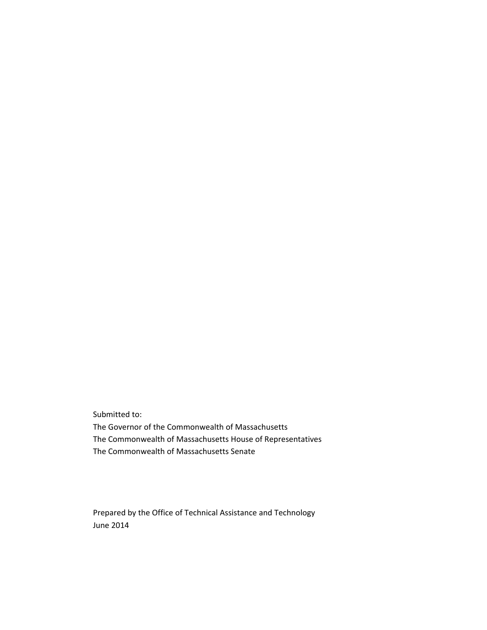Submitted to: The Governor of the Commonwealth of Massachusetts The Commonwealth of Massachusetts House of Representatives The Commonwealth of Massachusetts Senate

Prepared by the Office of Technical Assistance and Technology June 2014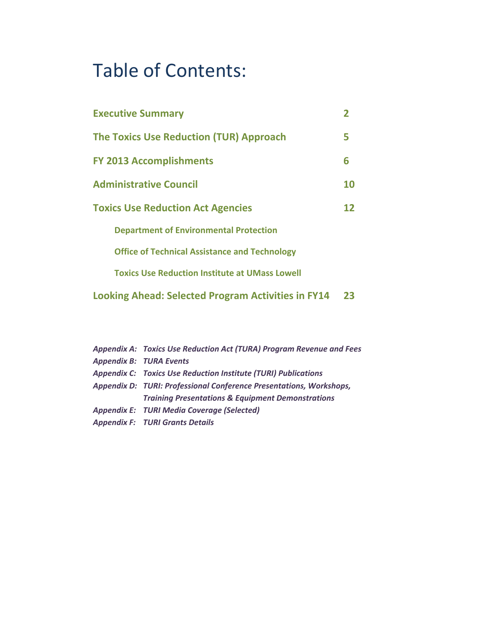## Table of Contents:

| <b>Executive Summary</b>                                  |    |
|-----------------------------------------------------------|----|
| <b>The Toxics Use Reduction (TUR) Approach</b>            | 5  |
| <b>FY 2013 Accomplishments</b>                            | 6  |
| <b>Administrative Council</b>                             | 10 |
| <b>Toxics Use Reduction Act Agencies</b>                  | 12 |
| <b>Department of Environmental Protection</b>             |    |
| <b>Office of Technical Assistance and Technology</b>      |    |
| <b>Toxics Use Reduction Institute at UMass Lowell</b>     |    |
| <b>Looking Ahead: Selected Program Activities in FY14</b> | 23 |

| Appendix A: Toxics Use Reduction Act (TURA) Program Revenue and Fees  |
|-----------------------------------------------------------------------|
| <b>Appendix B: TURA Events</b>                                        |
| <b>Appendix C: Toxics Use Reduction Institute (TURI) Publications</b> |
| Appendix D: TURI: Professional Conference Presentations, Workshops,   |
| <b>Training Presentations &amp; Equipment Demonstrations</b>          |
| <b>Appendix E: TURI Media Coverage (Selected)</b>                     |
| <b>Appendix F: TURI Grants Details</b>                                |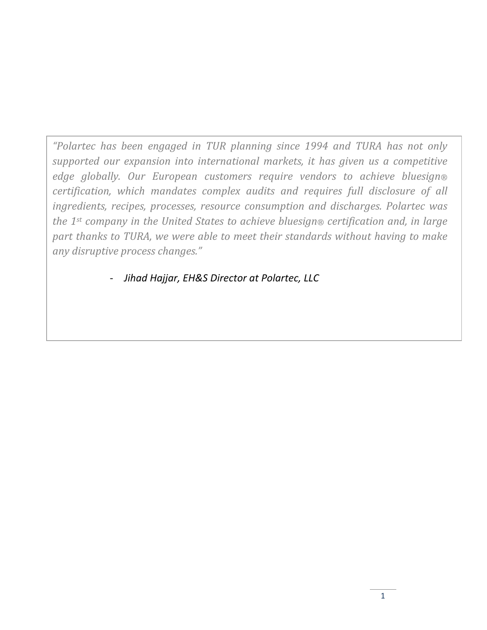*"Polartec has been engaged in TUR planning since 1994 and TURA has not only supported our expansion into international markets, it has given us a competitive edge globally. Our European customers require vendors to achieve bluesign® certification, which mandates complex audits and requires full disclosure of all ingredients, recipes, processes, resource consumption and discharges. Polartec was the 1st company in the United States to achieve bluesign® certification and, in large part thanks to TURA, we were able to meet their standards without having to make any disruptive process changes."*

‐ *Jihad Hajjar, EH&S Director at Polartec, LLC*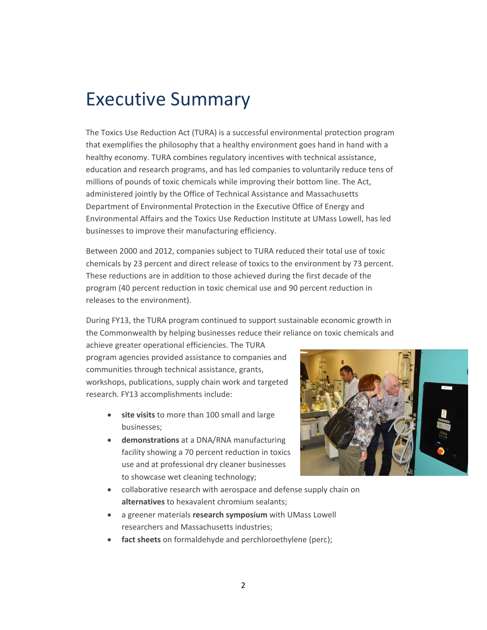## Executive Summary

The Toxics Use Reduction Act (TURA) is a successful environmental protection program that exemplifies the philosophy that a healthy environment goes hand in hand with a healthy economy. TURA combines regulatory incentives with technical assistance, education and research programs, and has led companies to voluntarily reduce tens of millions of pounds of toxic chemicals while improving their bottom line. The Act, administered jointly by the Office of Technical Assistance and Massachusetts Department of Environmental Protection in the Executive Office of Energy and Environmental Affairs and the Toxics Use Reduction Institute at UMass Lowell, has led businesses to improve their manufacturing efficiency.

Between 2000 and 2012, companies subject to TURA reduced their total use of toxic chemicals by 23 percent and direct release of toxics to the environment by 73 percent. These reductions are in addition to those achieved during the first decade of the program (40 percent reduction in toxic chemical use and 90 percent reduction in releases to the environment).

During FY13, the TURA program continued to support sustainable economic growth in the Commonwealth by helping businesses reduce their reliance on toxic chemicals and

achieve greater operational efficiencies. The TURA program agencies provided assistance to companies and communities through technical assistance, grants, workshops, publications, supply chain work and targeted research. FY13 accomplishments include:

- **site visits** to more than 100 small and large businesses;
- **demonstrations** at a DNA/RNA manufacturing facility showing a 70 percent reduction in toxics use and at professional dry cleaner businesses to showcase wet cleaning technology;



- collaborative research with aerospace and defense supply chain on **alternatives** to hexavalent chromium sealants;
- a greener materials **research symposium** with UMass Lowell researchers and Massachusetts industries;
- fact sheets on formaldehyde and perchloroethylene (perc);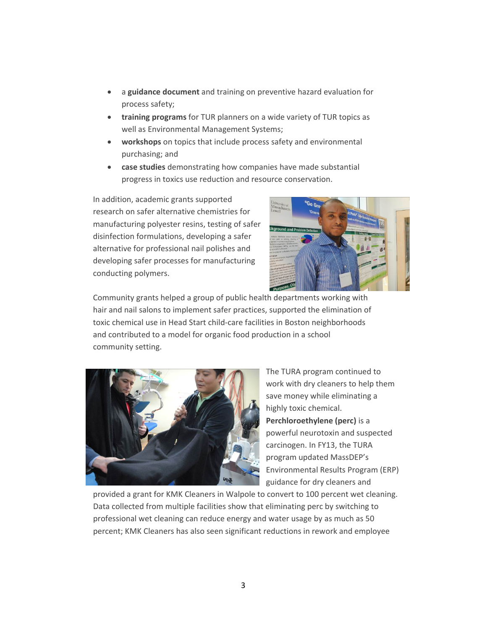- a **guidance document** and training on preventive hazard evaluation for process safety;
- **training programs** for TUR planners on a wide variety of TUR topics as well as Environmental Management Systems;
- **workshops** on topics that include process safety and environmental purchasing; and
- **case studies** demonstrating how companies have made substantial progress in toxics use reduction and resource conservation.

In addition, academic grants supported research on safer alternative chemistries for manufacturing polyester resins, testing of safer disinfection formulations, developing a safer alternative for professional nail polishes and developing safer processes for manufacturing conducting polymers.



Community grants helped a group of public health departments working with hair and nail salons to implement safer practices, supported the elimination of toxic chemical use in Head Start child‐care facilities in Boston neighborhoods and contributed to a model for organic food production in a school community setting.



The TURA program continued to work with dry cleaners to help them save money while eliminating a highly toxic chemical. **Perchloroethylene (perc)** is a powerful neurotoxin and suspected carcinogen. In FY13, the TURA program updated MassDEP's Environmental Results Program (ERP) guidance for dry cleaners and

provided a grant for KMK Cleaners in Walpole to convert to 100 percent wet cleaning. Data collected from multiple facilities show that eliminating perc by switching to professional wet cleaning can reduce energy and water usage by as much as 50 percent; KMK Cleaners has also seen significant reductions in rework and employee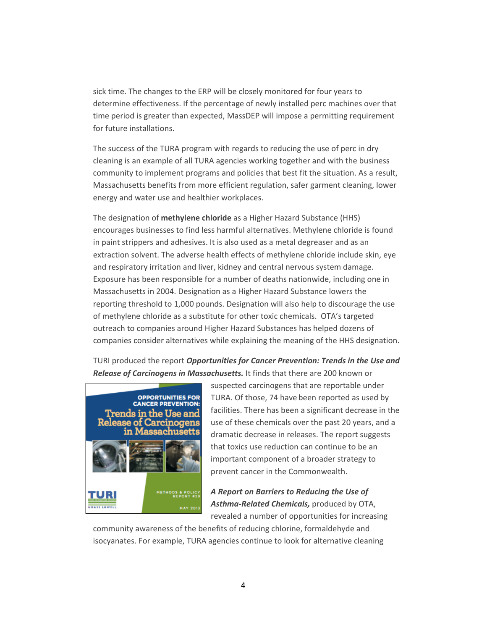sick time. The changes to the ERP will be closely monitored for four years to determine effectiveness. If the percentage of newly installed perc machines over that time period is greater than expected, MassDEP will impose a permitting requirement for future installations.

The success of the TURA program with regards to reducing the use of perc in dry cleaning is an example of all TURA agencies working together and with the business community to implement programs and policies that best fit the situation. As a result, Massachusetts benefits from more efficient regulation, safer garment cleaning, lower energy and water use and healthier workplaces.

The designation of **methylene chloride** as a Higher Hazard Substance (HHS) encourages businesses to find less harmful alternatives. Methylene chloride is found in paint strippers and adhesives. It is also used as a metal degreaser and as an extraction solvent. The adverse health effects of methylene chloride include skin, eye and respiratory irritation and liver, kidney and central nervous system damage. Exposure has been responsible for a number of deaths nationwide, including one in Massachusetts in 2004. Designation as a Higher Hazard Substance lowers the reporting threshold to 1,000 pounds. Designation will also help to discourage the use of methylene chloride as a substitute for other toxic chemicals. OTA's targeted outreach to companies around Higher Hazard Substances has helped dozens of companies consider alternatives while explaining the meaning of the HHS designation.

TURI produced the report *Opportunities for Cancer Prevention: Trends in the Use and Release of Carcinogens in Massachusetts.* It finds that there are 200 known or



suspected carcinogens that are reportable under TURA. Of those, 74 have been reported as used by facilities. There has been a significant decrease in the use of these chemicals over the past 20 years, and a dramatic decrease in releases. The report suggests that toxics use reduction can continue to be an important component of a broader strategy to prevent cancer in the Commonwealth.

*A Report on Barriers to Reducing the Use of Asthma‐Related Chemicals,* produced by OTA, revealed a number of opportunities for increasing

community awareness of the benefits of reducing chlorine, formaldehyde and isocyanates. For example, TURA agencies continue to look for alternative cleaning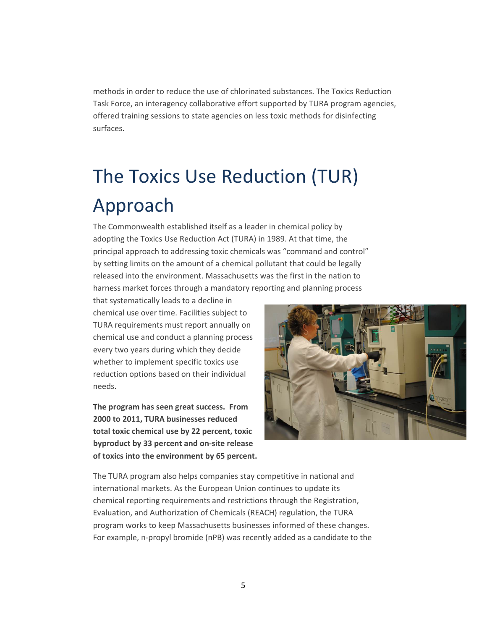methods in order to reduce the use of chlorinated substances. The Toxics Reduc tion Task Force, an interagency collaborative effort supported by TURA program age ncies, offered training sessions to state agencies on less toxic methods for disinfecting surfaces.

# The Toxics Use Reduction (TUR) Approach

principal approach to addressing toxic chemicals was "command and control" harness market forces through a mandatory reporting and planning process The Commonwealth established itself as a leader in chemical policy by adopting the Toxics Use Reduction Act (TURA) in 1989. At that time, the by setting limits on the amount of a chemical pollutant that could be legally released into the environment. Massachusetts was the first in the nation to

chemical use and conduct a planning process reduction options based on their individual needs. that systematically leads to a decline in chemical use over time. Facilities subject to TURA requirements must report annually on every two years during which they decide whether to implement specific toxics use

**m The program has seen great success. Fro of toxics into the environment by 65 percent. 2000 to 2011, TURA businesses reduced total toxic chemical use by 22 percent, toxic byproduct by 33 percent and on‐site release**



The TURA program also helps companies stay competitive in national and international markets. As the European Union continues to update its chemical reporting requirements and restrictions through the Registration, Evaluation, and Authorization of Chemicals (REACH) regulation, the TURA program works to keep Massachusetts businesses informed of these changes. For example, n‐propyl bromide (nPB) was recently added as a candidate to the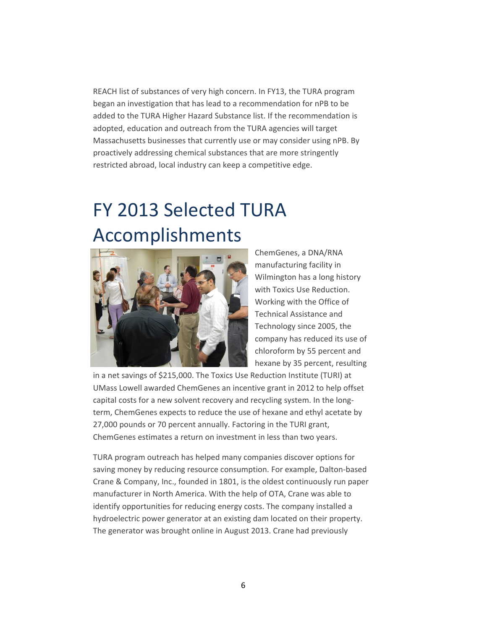REACH list of substances of very high concern. In FY13, the TURA program began an investigation that has lead to a recommendation for nPB to be added to the TURA Higher Hazard Substance list. If the recommendati on is adopted, education and outreach from the TURA agencies will target Massachusetts businesses that currently use or may consider using nPB . By proactively addressing chemical substances that are more string ently restricted abroad, local industry can keep a competitive edge.

## FY 2013 Selected TURA Accomplishments



ChemGenes, a DNA/RNA manufacturing facility in Wilmington has a long history with Toxics Use Reduction. Working with the Office of Technical Assistance and Technology since 2005, the company has reduced its use of chloroform by 55 percent and hexane by 35 percent, resulting

in a net savings of \$215,000. The Toxics Use Reduction Institute (TURI) at UMass Lowell awarded ChemGenes an incentive grant in 2012 to help offset capital costs for a new solvent recovery and recycling system. In the long‐ term, ChemGenes expects to reduce the use of hexane and ethyl acetate by 27,000 pounds or 70 percent annually. Factoring in the TURI grant, ChemGenes estimates a return on investment in less than two years.

Crane & Company, Inc., founded in 1801, is the oldest continuously run paper hydroelectric power generator at an existing dam located on their property. TURA program outreach has helped many companies discover options for saving money by reducing resource consumption. For example, Dalton‐based manufacturer in North America. With the help of OTA, Crane was able to identify opportunities for reducing energy costs. The company installed a The generator was brought online in August 2013. Crane had previously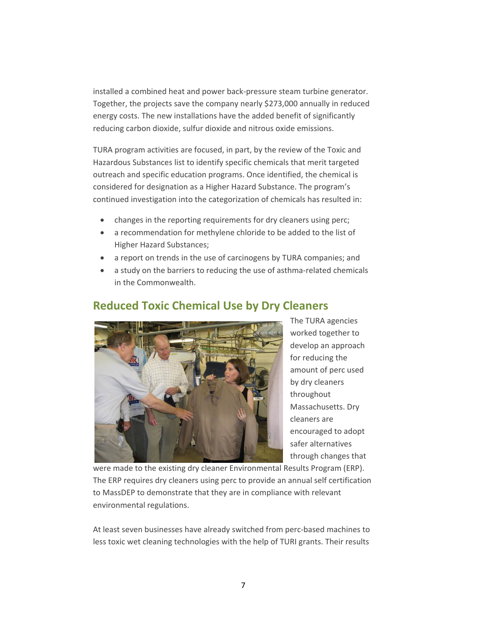installed a combined heat and power back‐pressure steam turbine generator. Together, the projects save the company nearly \$273,000 annually in reduc ed energy costs. The new installations have the added benefit of significantly reducing carbon dioxide, sulfur dioxide and nitrous oxide emissions.

continued investigation into the categorization of chemicals has resulted in: TURA program activities are focused, in part, by the review of the Toxic and Hazardous Substances list to identify specific chemicals that merit targeted outreach and specific education programs. Once identified, the chemical is considered for designation as a Higher Hazard Substance. The program's

- changes in the reporting requirements for dry cleaners using perc;
- a recommendation for methylene chloride to be added to the list of Higher Hazard Substances;
- a report on trends in the use of carcinogens by TURA companies; and
- a study on the barriers to reducing the use of asthma‐related chemicals in the Commonwealth.



## **Reduced Toxic Chemical Use by Dry C leaners**

develop an approach by dry cleaners Massachusetts. Dry encouraged to adopt The TURA agencies worked together to for reducing the amount of perc used throughout cleaners are safer alternatives through changes that

The ERP requires dry cleaners using perc to provide an annual self certification to MassDEP to demonstrate that they are in compliance with relevant environmental regulations. were made to the existing dry cleaner Environmental Results Program (ERP).

At least seven businesses have already switched from perc-based machines to less toxic wet cleaning technologies with the help of TURI grants. Their results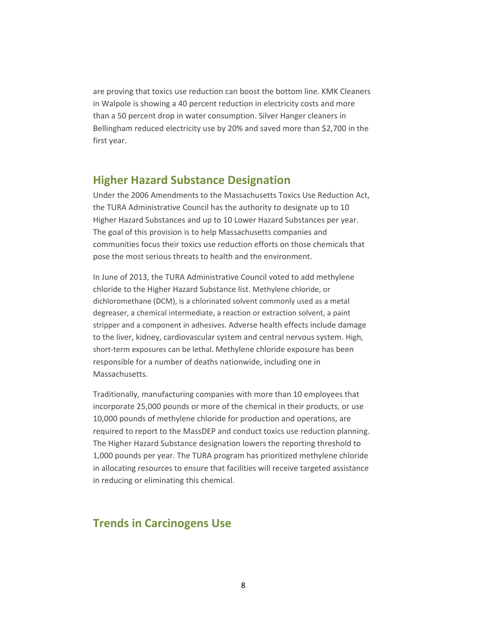are proving that toxics use reduction can boost the bottom line. KMK Clean ers in Walpole is showing a 40 percent reduction in electricity costs and mor e than a 50 percent drop in water consumption. Silver Hanger cleaners in Bellingham reduced electricity use by 20% and saved more than \$2,700 in the first year.

#### **Higher Hazard Substance Designation**

Under the 2006 Amendments to the Massachusetts Toxics Use Reduction Act, the TURA Administrative Council has the authority to designate up to 10 Higher Hazard Substances and up to 10 Lower Hazard Substances per year. The goal of this provision is to help Massachusetts companies and communities focus their toxics use reduction efforts on those chemicals that pose the most serious threats to health and the environment.

In June of 2013, the TURA Administrative Council voted to add methylene chloride to the Higher Hazard Substance list. Methylene chloride, or dichloromethane (DCM), is a chlorinated solvent commonly used as a metal degreaser, a chemical intermediate, a reaction or extraction solvent, a paint stripper and a component in adhesives. Adverse health effects include damage to the liver, kidney, cardiovascular system and central nervous system. High, short-term exposures can be lethal. Methylene chloride exposure has been responsible for a number of deaths nationwide, including one in Massachusetts.

Traditionally, manufacturing companies with more than 10 employees that incorporate 25,000 pounds or more of the chemical in their products, or use 10,000 pounds of methylene chloride for production and operations, are required to report to the MassDEP and conduct toxics use reduction planning. The Higher Hazard Substance designation lowers the reporting threshold to 1,000 pounds per year. The TURA program has prioritized methylene chloride in allocating resources to ensure that facilities will receive targeted assistance in reducing or eliminating this chemical.

## **Trends in Carcinogens Use**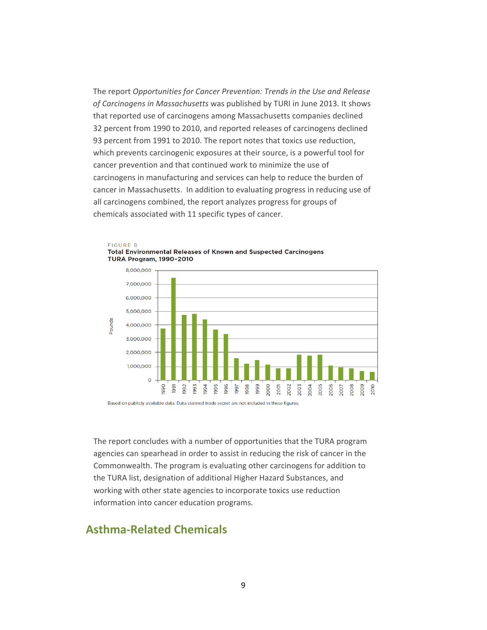The report *Opportunities for Cancer Prevention: Trends in the Use and Releas e of Carcinogens in Massachusetts* was published by TURI in June 2013. It shows that reported use of carcinogens among Massachusetts companies declined 32 percent from 1990 to 2010, and reported releases of carcinogens declined 93 percent from 1991 to 2010. The report notes that toxics use reduction, which prevents carcinogenic exposures at their source, is a powerful tool for cancer prevention and that continued work to minimize the use of carcinogens in manufacturing and services can help to reduce the bur den of cancer in Massachusetts. In addition to evaluating prog ress in reducing use of all carcinogens combined, the report analyzes progress for groups of chemicals associated with 11 specific types of cancer.



**FIGURE B** Total Environmental Releases of Known and Suspected Carcinogens

Based on publicly available data. Data claimed trade secret are not included in these figures.

agencies can spearhead in order to assist in reducing the risk of cancer in the Commonwealth. The program is evaluating other carcinogens for addition to the TURA list, designation of additional Higher Hazard Substances, and working with other state agencies to incorporate toxics use reduction information into cancer education programs. The report concludes with a number of opportunities that the TURA program

#### **Asthma‐Related Chemicals**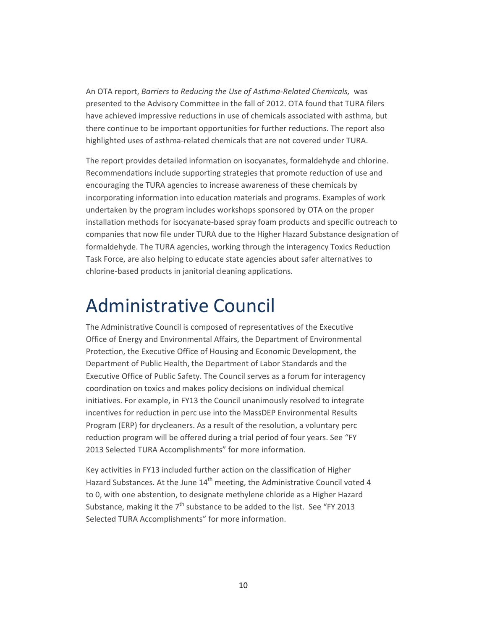An OTA report, *Barriers to Reducing the Use of Asthma‐Related Chemicals,* was presented to the Advisory Committee in the fall of 2012. OTA found that TURA filers have achieved impressive reductions in use of chemicals associated with asthma, but there continue to be important opportunities for further reductions. The report also highlighted uses of asthma‐related chemicals that are not covered under TURA.

The report provides detailed information on isocyanates, formaldehyde and chlorine. companies that now file under TURA due to the Higher Hazard Substance designation of formaldehyde. The TURA agencies, working through the interagency Toxics Reduction Task Force, are also helping to educate state agencies about safer alternatives to chlorine-based products in janitorial cleaning applications. Recommendations include supporting strategies that promote reduction of use and encouraging the TURA agencies to increase awareness of these chemicals by incorporating information into education materials and programs. Examples of work undertaken by the program includes workshops sponsored by OTA on the proper installation methods for isocyanate‐based spray foam products and specific outreach to

## Administrative Council

The Administrative Council is composed of representatives of the Executive Office of Energy and Environmental Affairs, the Department of Environmental Protection, the Executive Office of Housing and Economic Development, the Department of Public Health, the Department of Labor Standards and the Executive Office of Public Safety. The Council serves as a forum for interagency coordination on toxics and makes policy decisions on individual chemical initiatives. For example, in FY13 the Council unanimously resolved to integrate incentives for reduction in perc use into the MassDEP Environmental Results Program (ERP) for drycleaners. As a result of the resolution, a voluntary perc reduction program will be offered during a trial period of four years. See "FY 2013 Selected TURA Accomplishments" for more information.

Key activities in FY13 included further action on the classification of Higher Hazard Substances. At the June 14<sup>th</sup> meeting, the Administrative Council voted 4 to 0, with one abstention, to designate methylene chlorid e as a Higher Hazard Substance, making it the 7<sup>th</sup> substance to be added to the list. See "FY 2013 Selected TURA Accomplishments" for more information.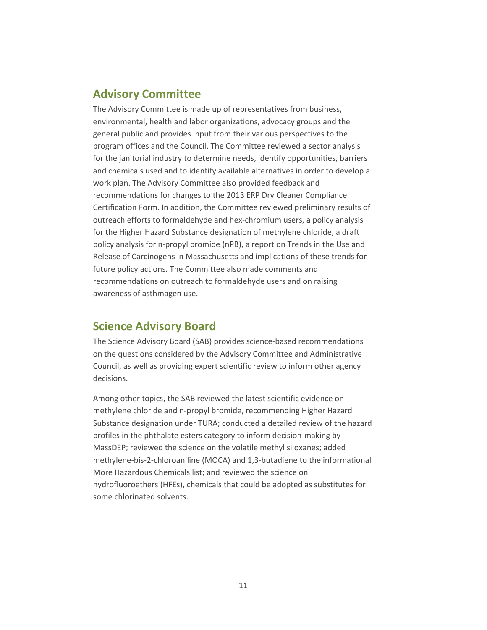### **Advisory Committee**

The Advisory Committee is made up of representatives from business, environmental, health and labor organizations, advocacy groups and the general public and provides input from their various perspectives to the program offices and the Council. The Committee reviewed a sector analysis for the janitorial industry to determine needs, identify opportunities, barriers and chemicals used and to identify available alternatives in order to develop a work plan. The Advisory Committee also provided feedback and recommendations for changes to the 2013 ERP Dry Cleaner Compliance Certification Form. In addition, the Committee reviewed preliminary results o f outreach efforts to formaldehyde and hex‐chromium users, a policy analysis for the Higher Hazard Substance designation of methylene chloride, a draft policy analysis for n‐propyl bromide (nPB), a report on Trends in the Use and Release of Carcinogens in Massachusetts and implications of these tre nds for future policy actions. The Committee also made comments and recommendations on outreach to formaldehyde users and on raising awareness of asthmagen use.

### **Science Advisory Board**

Council, as well as providing expert scientific review to inform other agency The Science Advisory Board (SAB) provides science‐based recommendations on the questions considered by the Advisory Committee and Administrative decisions.

Substance designation under TURA; conducted a detailed review of the hazard hydrofluoroethers (HFEs), chemicals that could be adopted as substitutes for some chlorinated solvents. Among other topics, the SAB reviewed the latest scientific evidence on methylene chloride and n‐propyl bromide, recommending Higher Hazard profiles in the phthalate esters category to inform decision‐making by MassDEP; reviewed the science on the volatile methyl siloxanes; added methylene‐bis‐2‐chloroaniline (MOCA) and 1,3‐butadiene to the informational More Hazardous Chemicals list; and reviewed the science on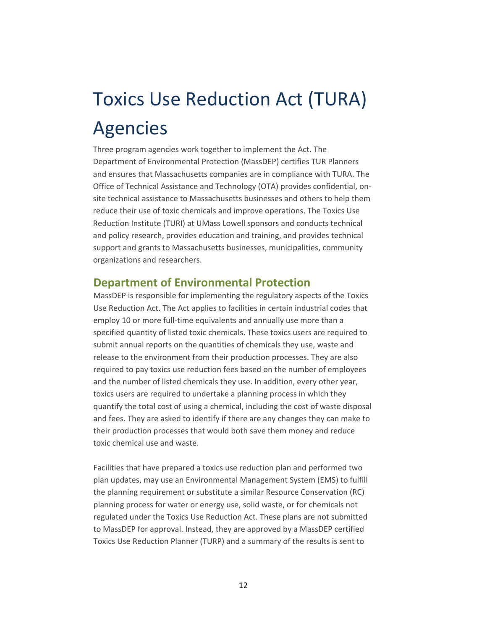# Toxics Use Reduction Act (TURA) Agencies

Three program agencies work together to implement the Act. The Department of Environmental Protection (MassDEP) certifies TUR Planners and ensures that Massachusetts companies are in compliance with TURA. The Office of Technical Assistance and Technology (OTA) provides confidential, on‐ site technical assistance to Massachusetts businesses and others to help them reduce their use of toxic chemicals and improve operations. The Toxics Use Reduction Institute (TURI) at UMass Lowell sponsors and conducts technical and policy research, provides education and training, and provides technical support and grants to Massachusetts businesses, municipalities, community organizations and researchers.

#### **Department of Environmental Protection**

MassDEP is responsible for implementing the regulatory aspects of the Toxics Use Reduction Act. The Act applies to facilities in certain industrial codes that employ 10 or more full-time equivalents and annually use more than a specified quantity of listed toxic chemicals. These toxics users are required to submit annual reports on the quantities of chemicals they use, waste and release to the environment from their production processes. They are also required to pay toxics use reduction fees based on the number of employees and the number of listed chemicals they use. In addition, every other year, toxics users are required to undertake a planning process in which they quantify the total cost of using a chemical, including the cost of waste disposal and fees. They are asked to identify if there are any changes they can make to their production processes that would both save them money and reduce toxic chemical use and waste.

Facilities that have prepared a toxics use reduction plan and performed two plan updates, may use an Environmental Management System (EMS) to fulfill the planning requirement or substitute a similar Resource Conservation (RC) planning process for water or energy use, solid waste, or for chemicals not regulated under the Toxics Use Reduction Act. These plans are not submitted to MassDEP for approval. Instead, they are approved by a MassDEP certified Toxics Use Reduction Planner (TURP) and a summary of the results is sent to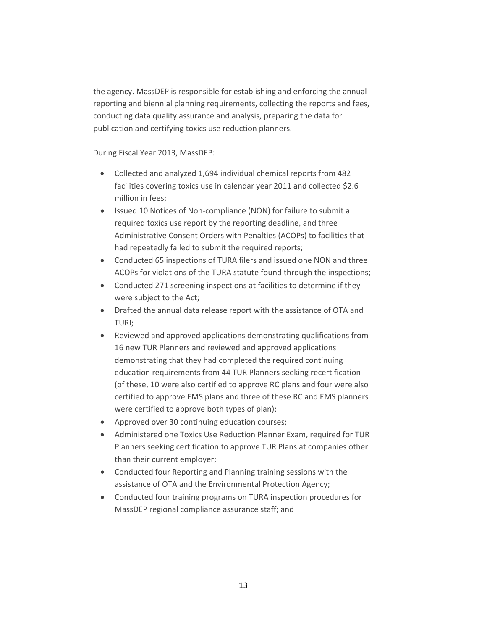the agency. MassDEP is responsible for establishing and enforcing the annual reporting and biennial planning requirements, collecting the reports and fees, conducting data quality assurance and analysis, preparing the data for publication and certifying toxics use reduction planners.

During Fiscal Year 2013, MassDEP:

- Collected and analyzed 1,694 individual chemical reports from 482 facilities covering toxics use in calendar year 2011 and collected \$2.6 million in fees;
- Issued 10 Notices of Non‐compliance (NON) for failure to submit a required toxics use report by the reporting deadline, and three Administrative Consent Orders with Penalties (ACOPs) to facilities that had repeatedly failed to submit the required reports;
- Conducted 65 inspections of TURA filers and issued one NON and three ACOPs for violations of the TURA statute found through the inspections;
- Conducted 271 screening inspections at facilities to determine if they were subject to the Act;
- Drafted the annual data release report with the assistance of OTA and TURI;
- Reviewed and approved applications demonstrating qualifications from 16 new TUR Planners and reviewed and approved applications demonstrating that they had completed the required continuing education requirements from 44 TUR Planners seeking recertification (of these, 10 were also certified to approve RC plans and four were also certified to approve EMS plans and three of these RC and EMS planners were certified to approve both types of plan);
- Approved over 30 continuing education courses;
- Administered one Toxics Use Reduction Planner Exam, required for TUR Planners seeking certification to approve TUR Plans at companies other than their current employer;
- Conducted four Reporting and Planning training sessions with the assistance of OTA and the Environmental Protection Agency;
- Conducted four training programs on TURA inspection procedures for MassDEP regional compliance assurance staff; and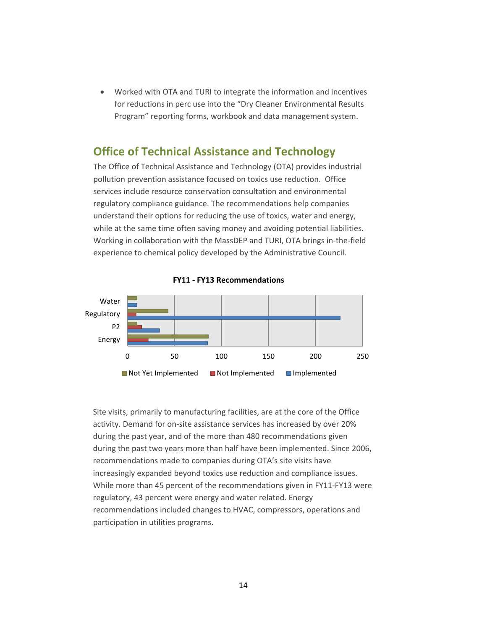• Worked with OTA and TURI to integrate the information and incentives for reductions in perc use into the "Dry Cleaner Environmental Results Program" reporting forms, workbook and data management system.

#### **Office of Technical Assistance and Technology**

The Office of Technical Assistance and Technology (OTA) provides industrial pollution prevention assistance focused on toxics use reduction. Office services include resource conservation consultation and environmental regulatory compliance guidance. The recommendations help companies understand their options for reducing the use of toxics, water and energy, while at the same time often saving money and avoiding potential liabilities. Working in collaboration with the MassDEP and TURI, OTA brings in‐the‐field experience to chemical policy developed by the Administrative Council.



**FY11 ‐ FY13 Recommendations**

Site visits, primarily to manufacturing facilities, are at the core of the Office activity. Demand for on‐site assistance services has increased by over 20% during the past year, and of the more than 480 recommendations given during the past two years more than half have been implemented. Since 2006, recommendations made to companies during OTA's site visits have increasingly expanded beyond toxics use reduction and compliance issues. While more than 45 percent of the recommendations given in FY11‐FY13 were regulatory, 43 percent were energy and water related. Energy recommendations included changes to HVAC, compressors, operations and participation in utilities programs.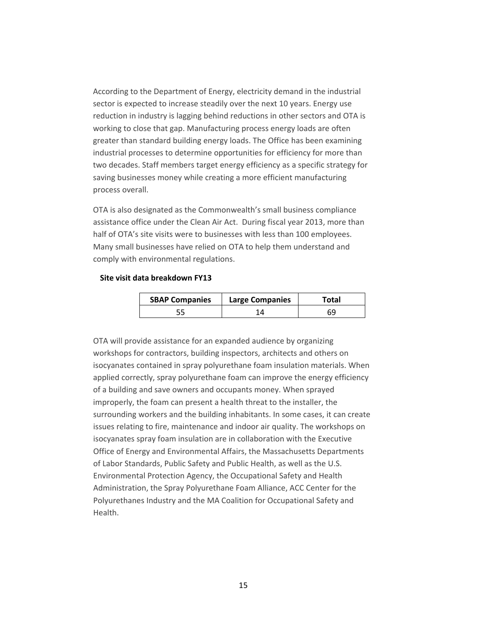According to the Department of Energy, electricity demand in the industrial sector is expected to increase steadily over the next 10 years. Energy use reduction in industry is lagging behind reductions in other sectors and OTA is working to close that gap. Manufacturing process energy loads are often greater than standard building energy loads. The Office has been examining industrial processes to determine opportunities for efficiency for more than two decades. Staff members target energy efficiency as a specific strategy for saving businesses money while creating a more efficient manufacturing process overall.

OTA is also designated as the Commonwealth's small business compliance assistance office under the Clean Air Act. During fiscal year 2013, more than half of OTA's site visits were to businesses with less than 100 employees. Many small businesses have relied on OTA to help them understand and comply with environmental regulations.

#### **Site visit data breakdown FY13**

| <b>SBAP Companies</b> | <b>Large Companies</b> | Total |
|-----------------------|------------------------|-------|
|                       |                        |       |

OTA will provide assistance for an expanded audience by organizing workshops for contractors, building inspectors, architects and others on isocyanates contained in spray polyurethane foam insulation materials. When applied correctly, spray polyurethane foam can improve the energy efficiency of a building and save owners and occupants money. When sprayed improperly, the foam can present a health threat to the installer, the surrounding workers and the building inhabitants. In some cases, it can create issues relating to fire, maintenance and indoor air quality. The workshops on isocyanates spray foam insulation are in collaboration with the Executive Office of Energy and Environmental Affairs, the Massachusetts Departments of Labor Standards, Public Safety and Public Health, as well as the U.S. Environmental Protection Agency, the Occupational Safety and Health Administration, the Spray Polyurethane Foam Alliance, ACC Center for the Polyurethanes Industry and the MA Coalition for Occupational Safety and Health.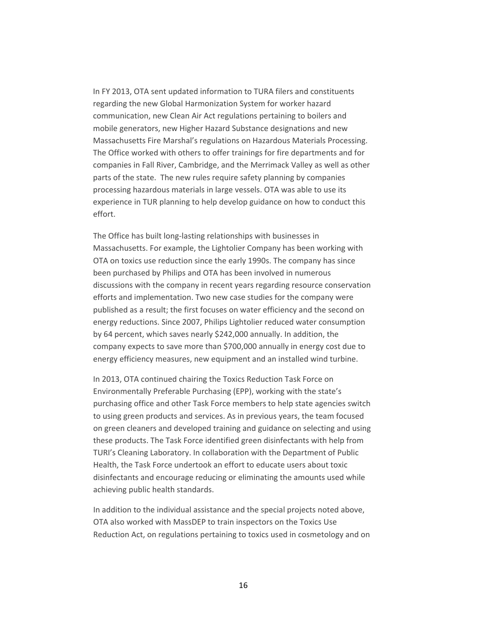In FY 2013, OTA sent updated information to TURA filers and constituents regarding the new Global Harmonization System for worker hazard communication, new Clean Air Act regulations pertaining to boilers and mobile generators, new Higher Hazard Substance designations and new Massachusetts Fire Marshal's regulations on Hazardous Materials Processing. The Office worked with others to offer trainings for fire departments and for companies in Fall River, Cambridge, and the Merrimack Valley as well as other parts of the state. The new rules require safety planning by companies processing hazardous materials in large vessels. OTA was able to use its experience in TUR planning to help develop guidance on how to conduct this effort.

The Office has built long‐lasting relationships with businesses in Massachusetts. For example, the Lightolier Company has been working with OTA on toxics use reduction since the early 1990s. The company has since been purchased by Philips and OTA has been involved in numerous discussions with the company in recent years regarding resource conservation efforts and implementation. Two new case studies for the company were published as a result; the first focuses on water efficiency and the second on energy reductions. Since 2007, Philips Lightolier reduced water consumption by 64 percent, which saves nearly \$242,000 annually. In addition, the company expects to save more than \$700,000 annually in energy cost due to energy efficiency measures, new equipment and an installed wind turbine.

In 2013, OTA continued chairing the Toxics Reduction Task Force on Environmentally Preferable Purchasing (EPP), working with the state's purchasing office and other Task Force members to help state agencies switch to using green products and services. As in previous years, the team focused on green cleaners and developed training and guidance on selecting and using these products. The Task Force identified green disinfectants with help from TURI's Cleaning Laboratory. In collaboration with the Department of Public Health, the Task Force undertook an effort to educate users about toxic disinfectants and encourage reducing or eliminating the amounts used while achieving public health standards.

In addition to the individual assistance and the special projects noted above, OTA also worked with MassDEP to train inspectors on the Toxics Use Reduction Act, on regulations pertaining to toxics used in cosmetology and on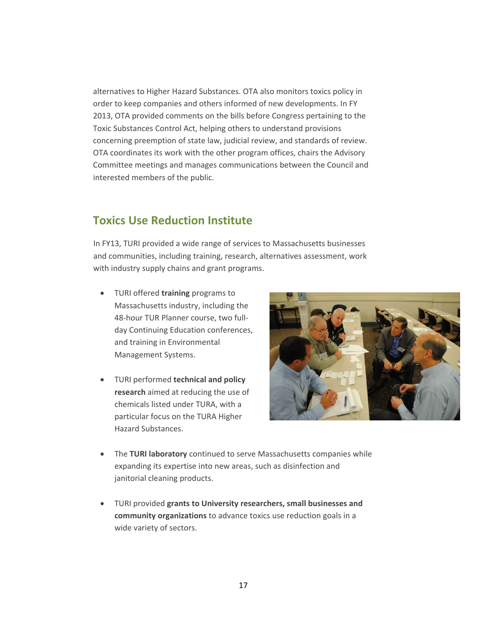alternatives to Higher Hazard Substances. OTA also monitors toxics policy in order to keep companies and others informed of new developments. In FY 2013, OTA provided comments on the bills before Congress pertaining to the Toxic Substances Control Act, helping others to understand provisions concerning preemption of state law, judicial review, and standards of review. OTA coordinates its work with the other program offices, chairs the Advisory Committee meetings and manages communications between the Council and interested members of the public.

## **Toxics Use Reduction Institute**

In FY13, TURI provided a wide range of services to Massachusetts businesses and communities, including training, research, alternatives assessment, work with industry supply chains and grant programs.

- TURI offered **training** programs to Massachusetts industry, including the 48‐hour TUR Planner course, two full‐ day Continuing Education conferences, and training in Environmental Management Systems.
- TURI performed **technical and policy research** aimed at reducing the use of chemicals listed under TURA, with a particular focus on the TURA Higher Hazard Substances.



- The **TURI laboratory** continued to serve Massachusetts companies while expanding its expertise into new areas, such as disinfection and janitorial cleaning products.
- TURI provided **grants to University researchers, small businesses and community organizations** to advance toxics use reduction goals in a wide variety of sectors.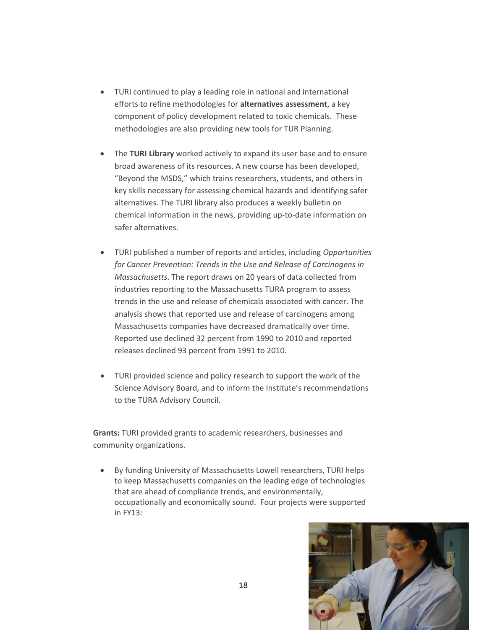- TURI continued to play a leading role in national and international efforts to refine methodologies for **alternatives assessment**, a key component of policy development related to toxic chemicals. These methodologies are also providing new tools for TUR Planning.
- The **TURI Library** worked actively to expand its user base and to ensure broad awareness of its resources. A new course has been developed, "Beyond the MSDS," which trains researchers, students, and others in key skills necessary for assessing chemical hazards and identifying safer alternatives. The TURI library also produces a weekly bulletin on chemical information in the news, providing up‐to‐date information on safer alternatives.
- TURI published a number of reports and articles, including *Opportunities for Cancer Prevention: Trends in the Use and Release of Carcinogens in Massachusetts*. The report draws on 20 years of data collected from industries reporting to the Massachusetts TURA program to assess trends in the use and release of chemicals associated with cancer. The analysis shows that reported use and release of carcinogens among Massachusetts companies have decreased dramatically over time. Reported use declined 32 percent from 1990 to 2010 and reported releases declined 93 percent from 1991 to 2010.
- TURI provided science and policy research to support the work of the Science Advisory Board, and to inform the Institute's recommendations to the TURA Advisory Council.

**Grants:** TURI provided grants to academic researchers, businesses and community organizations.

• By funding University of Massachusetts Lowell researchers, TURI helps to keep Massachusetts companies on the leading edge of technologies that are ahead of compliance trends, and environmentally, occupationally and economically sound. Four projects were supported in FY13:

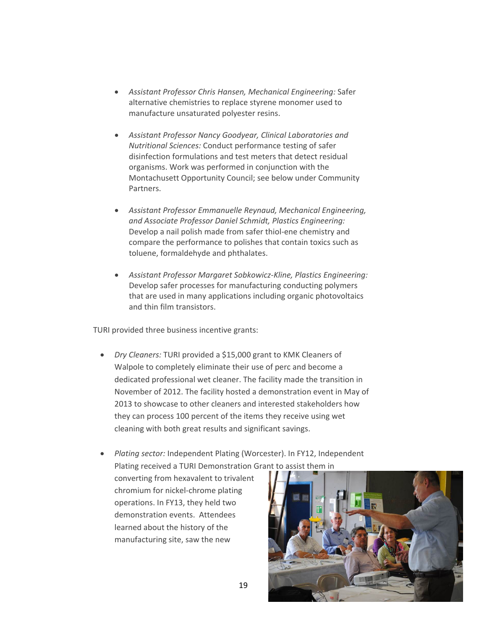- *Assistant Professor Chris Hansen, Mechanical Engineering:* Safer alternative chemistries to replace styrene monomer used to manufacture unsaturated polyester resins.
- *Assistant Professor Nancy Goodyear, Clinical Laboratories and Nutritional Sciences:* Conduct performance testing of safer disinfection formulations and test meters that detect residual organisms. Work was performed in conjunction with the Montachusett Opportunity Council; see below under Community Partners.
- *Assistant Professor Emmanuelle Reynaud, Mechanical Engineering, and Associate Professor Daniel Schmidt, Plastics Engineering:* Develop a nail polish made from safer thiol-ene chemistry and compare the performance to polishes that contain toxics such as toluene, formaldehyde and phthalates.
- *Assistant Professor Margaret Sobkowicz‐Kline, Plastics Engineering:* Develop safer processes for manufacturing conducting polymers that are used in many applications including organic photovoltaics and thin film transistors.

TURI provided three business incentive grants:

- *Dry Cleaners:* TURI provided a \$15,000 grant to KMK Cleaners of Walpole to completely eliminate their use of perc and become a dedicated professional wet cleaner. The facility made the transition in November of 2012. The facility hosted a demonstration event in May of 2013 to showcase to other cleaners and interested stakeholders how they can process 100 percent of the items they receive using wet cleaning with both great results and significant savings.
- *Plating sector:* Independent Plating (Worcester). In FY12, Independent Plating received a TURI Demonstration Grant to assist them in

converting from hexavalent to trivalent chromium for nickel‐chrome plating operations. In FY13, they held two demonstration events. Attendees learned about the history of the manufacturing site, saw the new

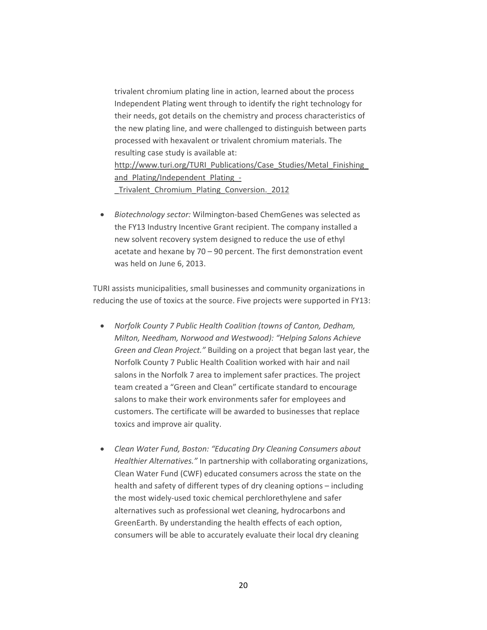trivalent chromium plating line in action, learned about the process Independent Plating went through to identify the right technology for their needs, got details on the chemistry and process characteristics of the new plating line, and were challenged to distinguish between parts processed with hexavalent or trivalent chromium materials. The resulting case study is available at: http://www.turi.org/TURI\_Publications/Case\_Studies/Metal\_Finishing and Plating/Independent Plating -Trivalent Chromium Plating Conversion. 2012

• *Biotechnology sector:* Wilmington‐based ChemGenes was selected as the FY13 Industry Incentive Grant recipient. The company installed a new solvent recovery system designed to reduce the use of ethyl acetate and hexane by 70 – 90 percent. The first demonstration event was held on June 6, 2013.

TURI assists municipalities, small businesses and community organizations in reducing the use of toxics at the source. Five projects were supported in FY13:

- *Norfolk County 7 Public Health Coalition (towns of Canton, Dedham, Milton, Needham, Norwood and Westwood): "Helping Salons Achieve Green and Clean Project."* Building on a project that began last year, the Norfolk County 7 Public Health Coalition worked with hair and nail salons in the Norfolk 7 area to implement safer practices. The project team created a "Green and Clean" certificate standard to encourage salons to make their work environments safer for employees and customers. The certificate will be awarded to businesses that replace toxics and improve air quality.
- *Clean Water Fund, Boston: "Educating Dry Cleaning Consumers about Healthier Alternatives."* In partnership with collaborating organizations, Clean Water Fund (CWF) educated consumers across the state on the health and safety of different types of dry cleaning options – including the most widely‐used toxic chemical perchlorethylene and safer alternatives such as professional wet cleaning, hydrocarbons and GreenEarth. By understanding the health effects of each option, consumers will be able to accurately evaluate their local dry cleaning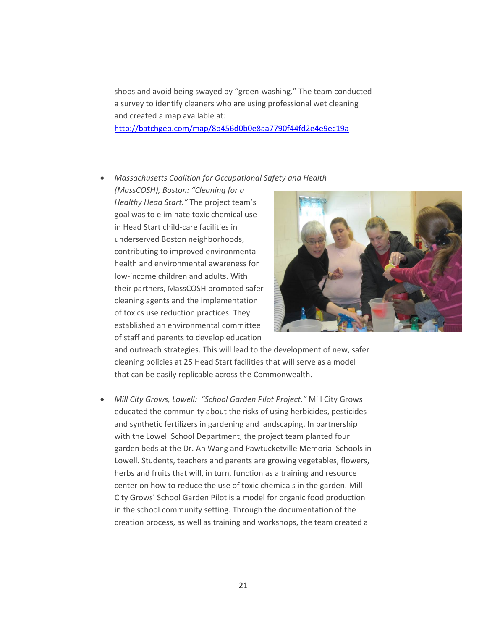shops and avoid being swayed by "green‐washing." The team conducted a survey to identify cleaners who are using professional wet cleaning and created a map available at:

http://batchgeo.com/map/8b456d0b0e8aa7790f44fd2e4e9ec19a

#### • *Massachusetts Coalition for Occupational Safety and Health*

*(MassCOSH), Boston: "Cleaning for a Healthy Head Start."* The project team's goal was to eliminate toxic chemical use in Head Start child‐care facilities in underserved Boston neighborhoods, contributing to improved environmental health and environmental awareness for low‐income children and adults. With their partners, MassCOSH promoted safer cleaning agents and the implementation of toxics use reduction practices. They established an environmental committee of staff and parents to develop education



and outreach strategies. This will lead to the development of new, safer cleaning policies at 25 Head Start facilities that will serve as a model that can be easily replicable across the Commonwealth.

• *Mill City Grows, Lowell: "School Garden Pilot Project."* Mill City Grows educated the community about the risks of using herbicides, pesticides and synthetic fertilizers in gardening and landscaping. In partnership with the Lowell School Department, the project team planted four garden beds at the Dr. An Wang and Pawtucketville Memorial Schools in Lowell. Students, teachers and parents are growing vegetables, flowers, herbs and fruits that will, in turn, function as a training and resource center on how to reduce the use of toxic chemicals in the garden. Mill City Grows' School Garden Pilot is a model for organic food production in the school community setting. Through the documentation of the creation process, as well as training and workshops, the team created a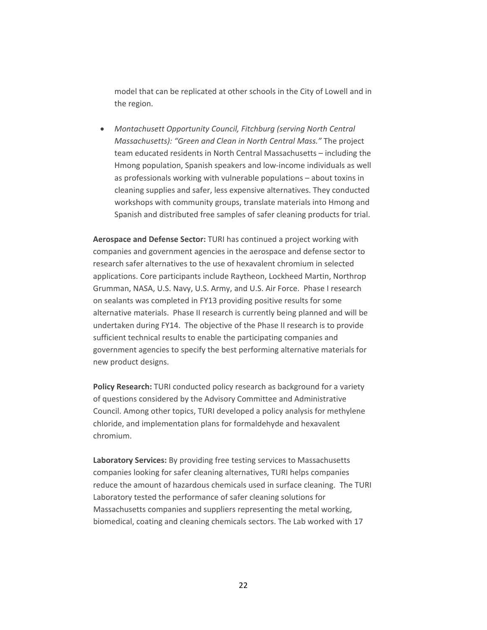model that can be replicated at other schools in the City of Lowell and in the region.

• *Montachusett Opportunity Council, Fitchburg (serving North Central Massachusetts): "Green and Clean in North Central Mass."* The project team educated residents in North Central Massachusetts – including the Hmong population, Spanish speakers and low‐income individuals as well as professionals working with vulnerable populations – about toxins in cleaning supplies and safer, less expensive alternatives. They conducted workshops with community groups, translate materials into Hmong and Spanish and distributed free samples of safer cleaning products for trial.

**Aerospace and Defense Sector:** TURI has continued a project working with companies and government agencies in the aerospace and defense sector to research safer alternatives to the use of hexavalent chromium in selected applications. Core participants include Raytheon, Lockheed Martin, Northrop Grumman, NASA, U.S. Navy, U.S. Army, and U.S. Air Force. Phase I research on sealants was completed in FY13 providing positive results for some alternative materials. Phase II research is currently being planned and will be undertaken during FY14. The objective of the Phase II research is to provide sufficient technical results to enable the participating companies and government agencies to specify the best performing alternative materials for new product designs.

**Policy Research:** TURI conducted policy research as background for a variety of questions considered by the Advisory Committee and Administrative Council. Among other topics, TURI developed a policy analysis for methylene chloride, and implementation plans for formaldehyde and hexavalent chromium.

**Laboratory Services:** By providing free testing services to Massachusetts companies looking for safer cleaning alternatives, TURI helps companies reduce the amount of hazardous chemicals used in surface cleaning. The TURI Laboratory tested the performance of safer cleaning solutions for Massachusetts companies and suppliers representing the metal working, biomedical, coating and cleaning chemicals sectors. The Lab worked with 17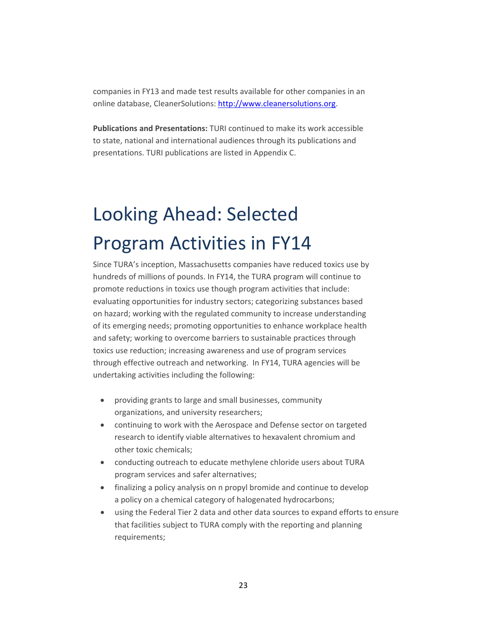companies in FY13 and made test results available for other companies in an online database, CleanerSolutions: [http://www.cleanersolutions.org](http://www.cleanersolutions.org/).

**Publications and Presentations:** TURI continued to make its work accessible to state, national and international audiences through its publications and presentations. TURI publications are listed in Appendix C.

# Looking Ahead: Selected Program Activities in FY14

Since TURA's inception, Massachusetts companies have reduced toxics use by hundreds of millions of pounds. In FY14, the TURA program will continue to promote reductions in toxics use though program activities that include: evaluating opportunities for industry sectors; categorizing substances based on hazard; working with the regulated community to increase understanding of its emerging needs; promoting opportunities to enhance workplace health and safety; working to overcome barriers to sustainable practices through toxics use reduction; increasing awareness and use of program services through effective outreach and networking. In FY14, TURA agencies will be undertaking activities including the following:

- providing grants to large and small businesses, community organizations, and university researchers;
- continuing to work with the Aerospace and Defense sector on targeted research to identify viable alternatives to hexavalent chromium and other toxic chemicals;
- conducting outreach to educate methylene chloride users about TURA program services and safer alternatives;
- finalizing a policy analysis on n propyl bromide and continue to develop a policy on a chemical category of halogenated hydrocarbons;
- using the Federal Tier 2 data and other data sources to expand efforts to ensure that facilities subject to TURA comply with the reporting and planning requirements;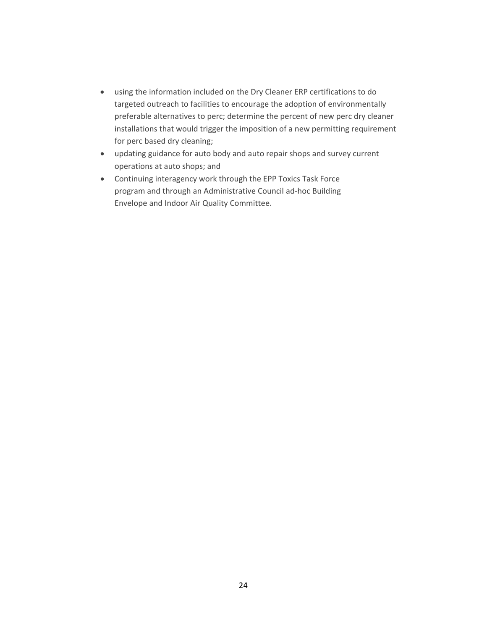- using the information included on the Dry Cleaner ERP certifications to do targeted outreach to facilities to encourage the adoption of environmentally preferable alternatives to perc; determine the percent of new perc dry cleaner installations that would trigger the imposition of a new permitting requirement for perc based dry cleaning;
- updating guidance for auto body and auto repair shops and survey current operations at auto shops; and
- Continuing interagency work through the EPP Toxics Task Force program and through an Administrative Council ad‐hoc Building Envelope and Indoor Air Quality Committee.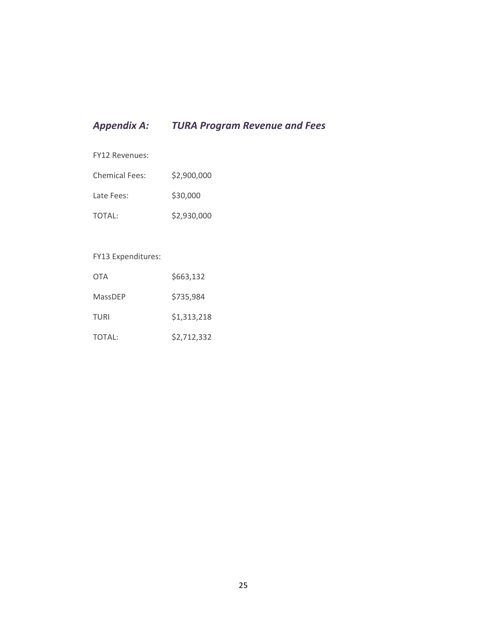## *Appendix A: TURA Program Revenue and Fees*

FY12 Revenues:

| <b>Chemical Fees:</b> | \$2,900,000 |
|-----------------------|-------------|
| Late Fees:            | \$30,000    |
| TOTAL:                | \$2,930,000 |

#### FY13 Expenditures:

| <b>OTA</b> | \$663,132   |
|------------|-------------|
| MassDEP    | \$735,984   |
| TURI       | \$1,313,218 |
| TOTAL:     | \$2,712,332 |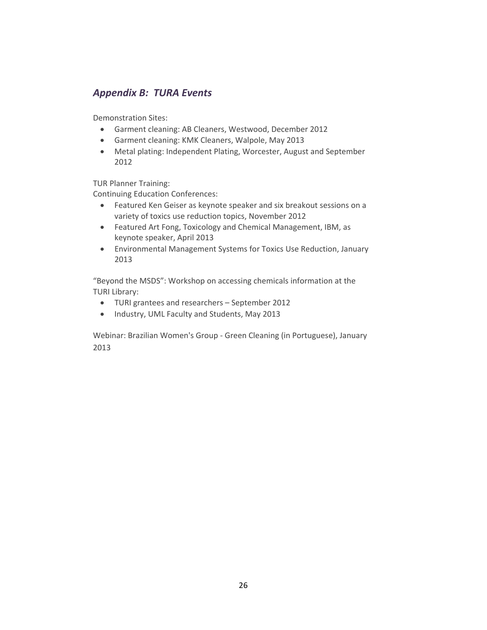#### *Appendix B: TURA Events*

Demonstration Sites:

- Garment cleaning: AB Cleaners, Westwood, December 2012
- Garment cleaning: KMK Cleaners, Walpole, May 2013
- Metal plating: Independent Plating, Worcester, August and September 2012

TUR Planner Training:

Continuing Education Conferences:

- Featured Ken Geiser as keynote speaker and six breakout sessions on a variety of toxics use reduction topics, November 2012
- Featured Art Fong, Toxicology and Chemical Management, IBM, as keynote speaker, April 2013
- Environmental Management Systems for Toxics Use Reduction, January 2013

"Beyond the MSDS": Workshop on accessing chemicals information at the TURI Library:

- TURI grantees and researchers September 2012
- Industry, UML Faculty and Students, May 2013

Webinar: Brazilian Women's Group ‐ Green Cleaning (in Portuguese), January 2013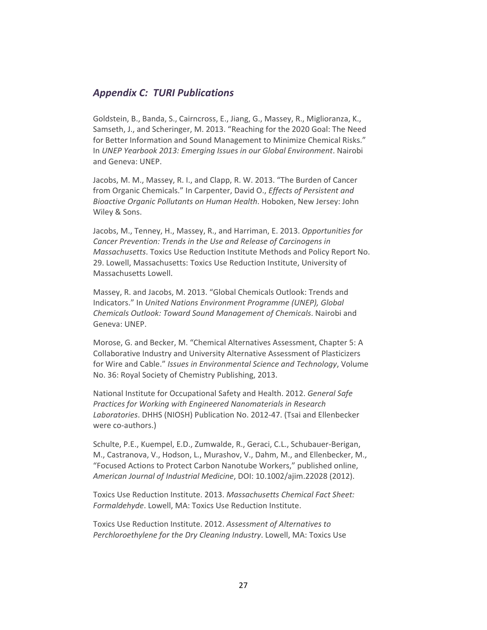#### *Appendix C: TURI Publications*

Goldstein, B., Banda, S., Cairncross, E., Jiang, G., Massey, R., Miglioranza, K., Samseth, J., and Scheringer, M. 2013. "Reaching for the 2020 Goal: The Need for Better Information and Sound Management to Minimize Chemical Risks." In *UNEP Yearbook 2013: Emerging Issues in our Global Environment*. Nairobi and Geneva: UNEP.

Jacobs, M. M., Massey, R. I., and Clapp, R. W. 2013. "The Burden of Cancer from Organic Chemicals." In Carpenter, David O., *Effects of Persistent and Bioactive Organic Pollutants on Human Health*. Hoboken, New Jersey: John Wiley & Sons.

Jacobs, M., Tenney, H., Massey, R., and Harriman, E. 2013. *Opportunities for Cancer Prevention: Trends in the Use and Release of Carcinogens in Massachusetts*. Toxics Use Reduction Institute Methods and Policy Report No. 29. Lowell, Massachusetts: Toxics Use Reduction Institute, University of Massachusetts Lowell.

Massey, R. and Jacobs, M. 2013. "Global Chemicals Outlook: Trends and Indicators." In *United Nations Environment Programme (UNEP), Global Chemicals Outlook: Toward Sound Management of Chemicals*. Nairobi and Geneva: UNEP.

Morose, G. and Becker, M. "Chemical Alternatives Assessment, Chapter 5: A Collaborative Industry and University Alternative Assessment of Plasticizers for Wire and Cable." *Issues in Environmental Science and Technology*, Volume No. 36: Royal Society of Chemistry Publishing, 2013.

National Institute for Occupational Safety and Health. 2012. *General Safe Practices for Working with Engineered Nanomaterials in Research Laboratories*. DHHS (NIOSH) Publication No. 2012‐47. (Tsai and Ellenbecker were co-authors.)

Schulte, P.E., Kuempel, E.D., Zumwalde, R., Geraci, C.L., Schubauer‐Berigan, M., Castranova, V., Hodson, L., Murashov, V., Dahm, M., and Ellenbecker, M., "Focused Actions to Protect Carbon Nanotube Workers," published online, *American Journal of Industrial Medicine*, DOI: 10.1002/ajim.22028 (2012).

Toxics Use Reduction Institute. 2013. *Massachusetts Chemical Fact Sheet: Formaldehyde*. Lowell, MA: Toxics Use Reduction Institute.

Toxics Use Reduction Institute. 2012. *Assessment of Alternatives to Perchloroethylene for the Dry Cleaning Industry*. Lowell, MA: Toxics Use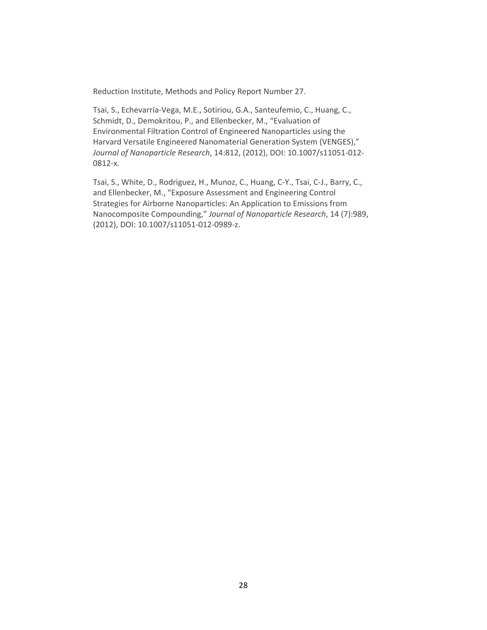Reduction Institute, Methods and Policy Report Number 27.

Tsai, S., Echevarría‐Vega, M.E., Sotiriou, G.A., Santeufemio, C., Huang, C., Schmidt, D., Demokritou, P., and Ellenbecker, M., "Evaluation of Environmental Filtration Control of Engineered Nanoparticles using the Harvard Versatile Engineered Nanomaterial Generation System (VENGES)," *Journal of Nanoparticle Research*, 14:812, (2012), DOI: 10.1007/s11051‐012‐ 0812‐x.

Tsai, S., White, D., Rodriguez, H., Munoz, C., Huang, C‐Y., Tsai, C‐J., Barry, C., and Ellenbecker, M., "Exposure Assessment and Engineering Control Strategies for Airborne Nanoparticles: An Application to Emissions from Nanocomposite Compounding," *Journal of Nanoparticle Research*, 14 (7):989, (2012), DOI: 10.1007/s11051‐012‐0989‐z.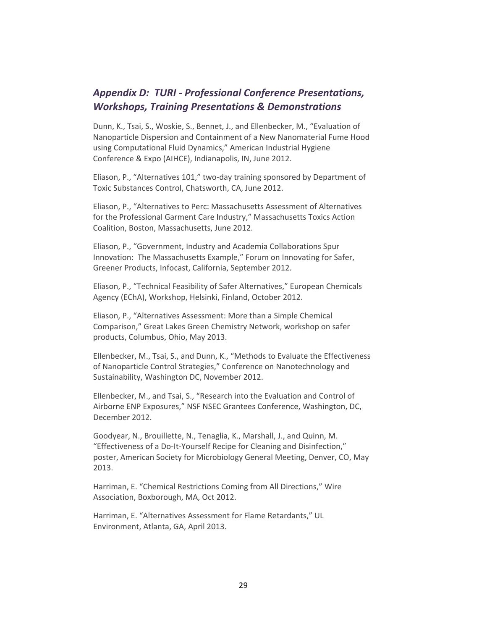#### *Appendix D: TURI ‐ Professional Conference Presentations, Workshops, Training Presentations & Demonstrations*

Dunn, K., Tsai, S., Woskie, S., Bennet, J., and Ellenbecker, M., "Evaluation of Nanoparticle Dispersion and Containment of a New Nanomaterial Fume Hood using Computational Fluid Dynamics," American Industrial Hygiene Conference & Expo (AIHCE), Indianapolis, IN, June 2012.

Eliason, P., "Alternatives 101," two‐day training sponsored by Department of Toxic Substances Control, Chatsworth, CA, June 2012.

Eliason, P., "Alternatives to Perc: Massachusetts Assessment of Alternatives for the Professional Garment Care Industry," Massachusetts Toxics Action Coalition, Boston, Massachusetts, June 2012.

Eliason, P., "Government, Industry and Academia Collaborations Spur Innovation: The Massachusetts Example," Forum on Innovating for Safer, Greener Products, Infocast, California, September 2012.

Eliason, P., "Technical Feasibility of Safer Alternatives," European Chemicals Agency (EChA), Workshop, Helsinki, Finland, October 2012.

Eliason, P., "Alternatives Assessment: More than a Simple Chemical Comparison," Great Lakes Green Chemistry Network, workshop on safer products, Columbus, Ohio, May 2013.

Ellenbecker, M., Tsai, S., and Dunn, K., "Methods to Evaluate the Effectiveness of Nanoparticle Control Strategies," Conference on Nanotechnology and Sustainability, Washington DC, November 2012.

Ellenbecker, M., and Tsai, S., "Research into the Evaluation and Control of Airborne ENP Exposures," NSF NSEC Grantees Conference, Washington, DC, December 2012.

Goodyear, N., Brouillette, N., Tenaglia, K., Marshall, J., and Quinn, M. "Effectiveness of a Do‐It‐Yourself Recipe for Cleaning and Disinfection," poster, American Society for Microbiology General Meeting, Denver, CO, May 2013.

Harriman, E. "Chemical Restrictions Coming from All Directions," Wire Association, Boxborough, MA, Oct 2012.

Harriman, E. "Alternatives Assessment for Flame Retardants," UL Environment, Atlanta, GA, April 2013.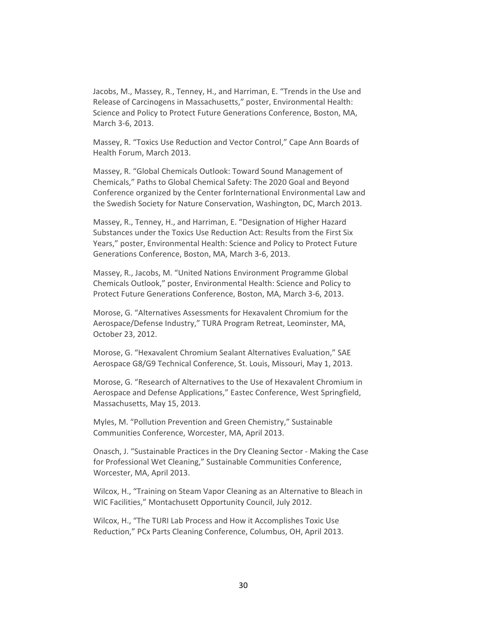Jacobs, M., Massey, R., Tenney, H., and Harriman, E. "Trends in the Use and Release of Carcinogens in Massachusetts," poster, Environmental Health: Science and Policy to Protect Future Generations Conference, Boston, MA, March 3‐6, 2013.

Massey, R. "Toxics Use Reduction and Vector Control," Cape Ann Boards of Health Forum, March 2013.

Massey, R. "Global Chemicals Outlook: Toward Sound Management of Chemicals," Paths to Global Chemical Safety: The 2020 Goal and Beyond Conference organized by the Center forInternational Environmental Law and the Swedish Society for Nature Conservation, Washington, DC, March 2013.

Massey, R., Tenney, H., and Harriman, E. "Designation of Higher Hazard Substances under the Toxics Use Reduction Act: Results from the First Six Years," poster, Environmental Health: Science and Policy to Protect Future Generations Conference, Boston, MA, March 3‐6, 2013.

Massey, R., Jacobs, M. "United Nations Environment Programme Global Chemicals Outlook," poster, Environmental Health: Science and Policy to Protect Future Generations Conference, Boston, MA, March 3‐6, 2013.

Morose, G. "Alternatives Assessments for Hexavalent Chromium for the Aerospace/Defense Industry," TURA Program Retreat, Leominster, MA, October 23, 2012.

Morose, G. "Hexavalent Chromium Sealant Alternatives Evaluation," SAE Aerospace G8/G9 Technical Conference, St. Louis, Missouri, May 1, 2013.

Morose, G. "Research of Alternatives to the Use of Hexavalent Chromium in Aerospace and Defense Applications," Eastec Conference, West Springfield, Massachusetts, May 15, 2013.

Myles, M. "Pollution Prevention and Green Chemistry," Sustainable Communities Conference, Worcester, MA, April 2013.

Onasch, J. "Sustainable Practices in the Dry Cleaning Sector ‐ Making the Case for Professional Wet Cleaning," Sustainable Communities Conference, Worcester, MA, April 2013.

Wilcox, H., "Training on Steam Vapor Cleaning as an Alternative to Bleach in WIC Facilities," Montachusett Opportunity Council, July 2012.

Wilcox, H., "The TURI Lab Process and How it Accomplishes Toxic Use Reduction," PCx Parts Cleaning Conference, Columbus, OH, April 2013.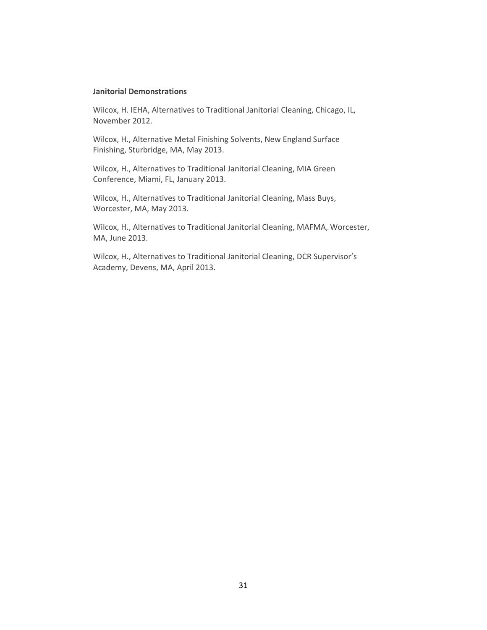#### **Janitorial Demonstrations**

Wilcox, H. IEHA, Alternatives to Traditional Janitorial Cleaning, Chicago, IL, November 2012.

Wilcox, H., Alternative Metal Finishing Solvents, New England Surface Finishing, Sturbridge, MA, May 2013.

Wilcox, H., Alternatives to Traditional Janitorial Cleaning, MIA Green Conference, Miami, FL, January 2013.

Wilcox, H., Alternatives to Traditional Janitorial Cleaning, Mass Buys, Worcester, MA, May 2013.

Wilcox, H., Alternatives to Traditional Janitorial Cleaning, MAFMA, Worcester, MA, June 2013.

Wilcox, H., Alternatives to Traditional Janitorial Cleaning, DCR Supervisor's Academy, Devens, MA, April 2013.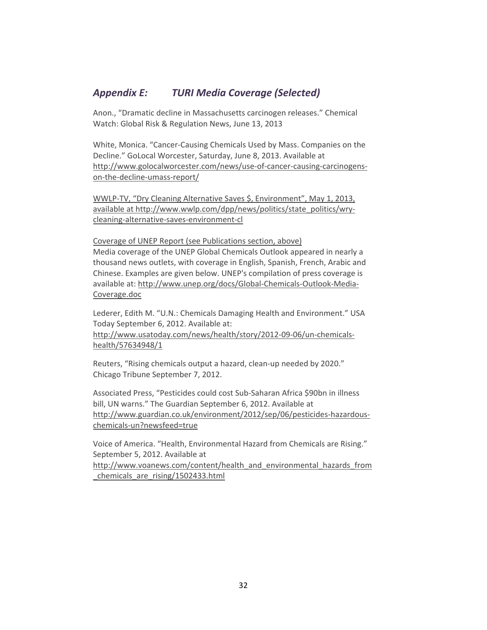#### *Appendix E: TURI Media Coverage (Selected)*

Anon., "Dramatic decline in Massachusetts carcinogen releases." Chemical Watch: Global Risk & Regulation News, June 13, 2013

White, Monica. "Cancer‐Causing Chemicals Used by Mass. Companies on the Decline." GoLocal Worcester, Saturday, June 8, 2013. Available at [http://www.golocalworcester.com/news/use](http://www.golocalworcester.com/news/use-of-cancer-causing-carcinogens-on-the-decline-umass-report/)‐of‐cancer‐causing‐carcinogens‐ on‐the‐decline‐umass‐[report/](http://www.golocalworcester.com/news/use-of-cancer-causing-carcinogens-on-the-decline-umass-report/)

WWLP‐TV, "Dry Cleaning Alternative Saves \$, Environment", May 1, 2013, available at [http://www.wwlp.com/dpp/news/politics/state\\_politics/wry](http://www.wwlp.com/dpp/news/politics/state_politics/wry-cleaning-alternative-saves-environment-cl)cleaning‐alternative‐saves‐[environment](http://www.wwlp.com/dpp/news/politics/state_politics/wry-cleaning-alternative-saves-environment-cl)‐cl

Coverage of UNEP Report (see Publications section, above) Media coverage of the UNEP Global Chemicals Outlook appeared in nearly a thousand news outlets, with coverage in English, Spanish, French, Arabic and Chinese. Examples are given below. UNEP's compilation of press coverage is available at: [http://www.unep.org/docs/Global](http://www.unep.org/docs/Global-Chemicals-Outlook-Media-Coverage.doc)‐Chemicals‐Outlook‐Media‐ [Coverage.doc](http://www.unep.org/docs/Global-Chemicals-Outlook-Media-Coverage.doc)

Lederer, Edith M. "U.N.: Chemicals Damaging Health and Environment." USA Today September 6, 2012. Available at: [http://www.usatoday.com/news/health/story/2012](http://www.usatoday.com/news/health/story/2012-09-06/un-chemicals-health/57634948/1)‐09‐06/un‐chemicals‐ [health/57634948/1](http://www.usatoday.com/news/health/story/2012-09-06/un-chemicals-health/57634948/1)

Reuters, "Rising chemicals output a hazard, clean‐up needed by 2020." Chicago Tribune September 7, 2012.

Associated Press, "Pesticides could cost Sub‐Saharan Africa \$90bn in illness bill, UN warns." The Guardian September 6, 2012. Available at [http://www.guardian.co.uk/environment/2012/sep/06/pesticides](http://www.guardian.co.uk/environment/2012/sep/06/pesticides-hazardous-chemicals-un?newsfeed=true)-hazardouschemicals‐[un?newsfeed=true](http://www.guardian.co.uk/environment/2012/sep/06/pesticides-hazardous-chemicals-un?newsfeed=true)

Voice of America. "Health, Environmental Hazard from Chemicals are Rising." September 5, 2012. Available at [http://www.voanews.com/content/health\\_and\\_environmental\\_hazards\\_from](http://www.voanews.com/content/health_and_environmental_hazards_from_chemicals_are_rising/1502433.html) [\\_chemicals\\_are\\_rising/1502433.html](http://www.voanews.com/content/health_and_environmental_hazards_from_chemicals_are_rising/1502433.html)